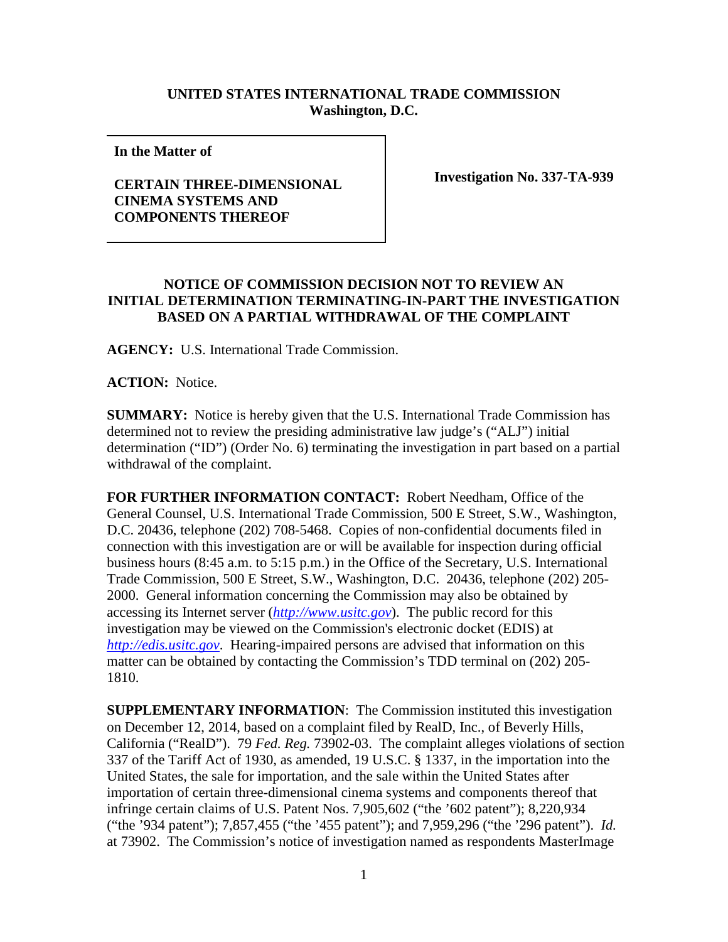## **UNITED STATES INTERNATIONAL TRADE COMMISSION Washington, D.C.**

**In the Matter of** 

## **CERTAIN THREE-DIMENSIONAL CINEMA SYSTEMS AND COMPONENTS THEREOF**

**Investigation No. 337-TA-939**

## **NOTICE OF COMMISSION DECISION NOT TO REVIEW AN INITIAL DETERMINATION TERMINATING-IN-PART THE INVESTIGATION BASED ON A PARTIAL WITHDRAWAL OF THE COMPLAINT**

**AGENCY:** U.S. International Trade Commission.

**ACTION:** Notice.

**SUMMARY:** Notice is hereby given that the U.S. International Trade Commission has determined not to review the presiding administrative law judge's ("ALJ") initial determination ("ID") (Order No. 6) terminating the investigation in part based on a partial withdrawal of the complaint.

**FOR FURTHER INFORMATION CONTACT:** Robert Needham, Office of the General Counsel, U.S. International Trade Commission, 500 E Street, S.W., Washington, D.C. 20436, telephone (202) 708-5468. Copies of non-confidential documents filed in connection with this investigation are or will be available for inspection during official business hours (8:45 a.m. to 5:15 p.m.) in the Office of the Secretary, U.S. International Trade Commission, 500 E Street, S.W., Washington, D.C. 20436, telephone (202) 205- 2000. General information concerning the Commission may also be obtained by accessing its Internet server (*[http://www.usitc.gov](http://www.usitc.gov/)*). The public record for this investigation may be viewed on the Commission's electronic docket (EDIS) at *[http://edis.usitc.gov](http://edis.usitc.gov/)*. Hearing-impaired persons are advised that information on this matter can be obtained by contacting the Commission's TDD terminal on (202) 205- 1810.

**SUPPLEMENTARY INFORMATION**: The Commission instituted this investigation on December 12, 2014, based on a complaint filed by RealD, Inc., of Beverly Hills, California ("RealD"). 79 *Fed. Reg.* 73902-03. The complaint alleges violations of section 337 of the Tariff Act of 1930, as amended, 19 U.S.C. § 1337, in the importation into the United States, the sale for importation, and the sale within the United States after importation of certain three-dimensional cinema systems and components thereof that infringe certain claims of U.S. Patent Nos. 7,905,602 ("the '602 patent"); 8,220,934 ("the '934 patent"); 7,857,455 ("the '455 patent"); and 7,959,296 ("the '296 patent"). *Id.* at 73902. The Commission's notice of investigation named as respondents MasterImage